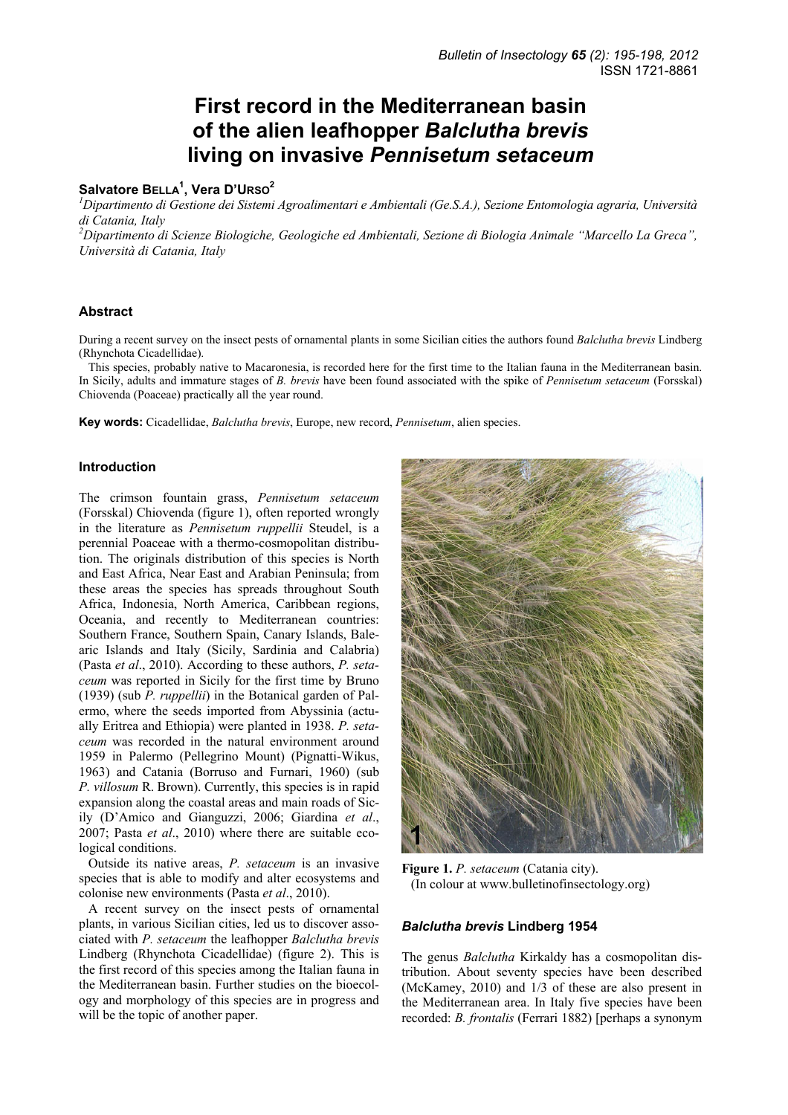# **First record in the Mediterranean basin of the alien leafhopper** *Balclutha brevis*  **living on invasive** *Pennisetum setaceum*

## **Salvatore BELLA1 , Vera D'URSO2**

*1 Dipartimento di Gestione dei Sistemi Agroalimentari e Ambientali (Ge.S.A.), Sezione Entomologia agraria, Università di Catania, Italy* 

*2 Dipartimento di Scienze Biologiche, Geologiche ed Ambientali, Sezione di Biologia Animale "Marcello La Greca", Università di Catania, Italy* 

#### **Abstract**

During a recent survey on the insect pests of ornamental plants in some Sicilian cities the authors found *Balclutha brevis* Lindberg (Rhynchota Cicadellidae).

This species, probably native to Macaronesia, is recorded here for the first time to the Italian fauna in the Mediterranean basin. In Sicily, adults and immature stages of *B. brevis* have been found associated with the spike of *Pennisetum setaceum* (Forsskal) Chiovenda (Poaceae) practically all the year round.

**Key words:** Cicadellidae, *Balclutha brevis*, Europe, new record, *Pennisetum*, alien species.

#### **Introduction**

The crimson fountain grass, *Pennisetum setaceum* (Forsskal) Chiovenda (figure 1), often reported wrongly in the literature as *Pennisetum ruppellii* Steudel, is a perennial Poaceae with a thermo-cosmopolitan distribution. The originals distribution of this species is North and East Africa, Near East and Arabian Peninsula; from these areas the species has spreads throughout South Africa, Indonesia, North America, Caribbean regions, Oceania, and recently to Mediterranean countries: Southern France, Southern Spain, Canary Islands, Balearic Islands and Italy (Sicily, Sardinia and Calabria) (Pasta *et al*., 2010). According to these authors, *P. setaceum* was reported in Sicily for the first time by Bruno (1939) (sub *P. ruppellii*) in the Botanical garden of Palermo, where the seeds imported from Abyssinia (actually Eritrea and Ethiopia) were planted in 1938. *P. setaceum* was recorded in the natural environment around 1959 in Palermo (Pellegrino Mount) (Pignatti-Wikus, 1963) and Catania (Borruso and Furnari, 1960) (sub *P. villosum* R. Brown). Currently, this species is in rapid expansion along the coastal areas and main roads of Sicily (D'Amico and Gianguzzi, 2006; Giardina *et al*., 2007; Pasta *et al*., 2010) where there are suitable ecological conditions.

Outside its native areas, *P. setaceum* is an invasive species that is able to modify and alter ecosystems and colonise new environments (Pasta *et al*., 2010).

A recent survey on the insect pests of ornamental plants, in various Sicilian cities, led us to discover associated with *P. setaceum* the leafhopper *Balclutha brevis* Lindberg (Rhynchota Cicadellidae) (figure 2). This is the first record of this species among the Italian fauna in the Mediterranean basin. Further studies on the bioecology and morphology of this species are in progress and will be the topic of another paper.



**Figure 1.** *P. setaceum* (Catania city). (In colour at www.bulletinofinsectology.org)

#### *Balclutha brevis* **Lindberg 1954**

The genus *Balclutha* Kirkaldy has a cosmopolitan distribution. About seventy species have been described (McKamey, 2010) and 1/3 of these are also present in the Mediterranean area. In Italy five species have been recorded: *B. frontalis* (Ferrari 1882) [perhaps a synonym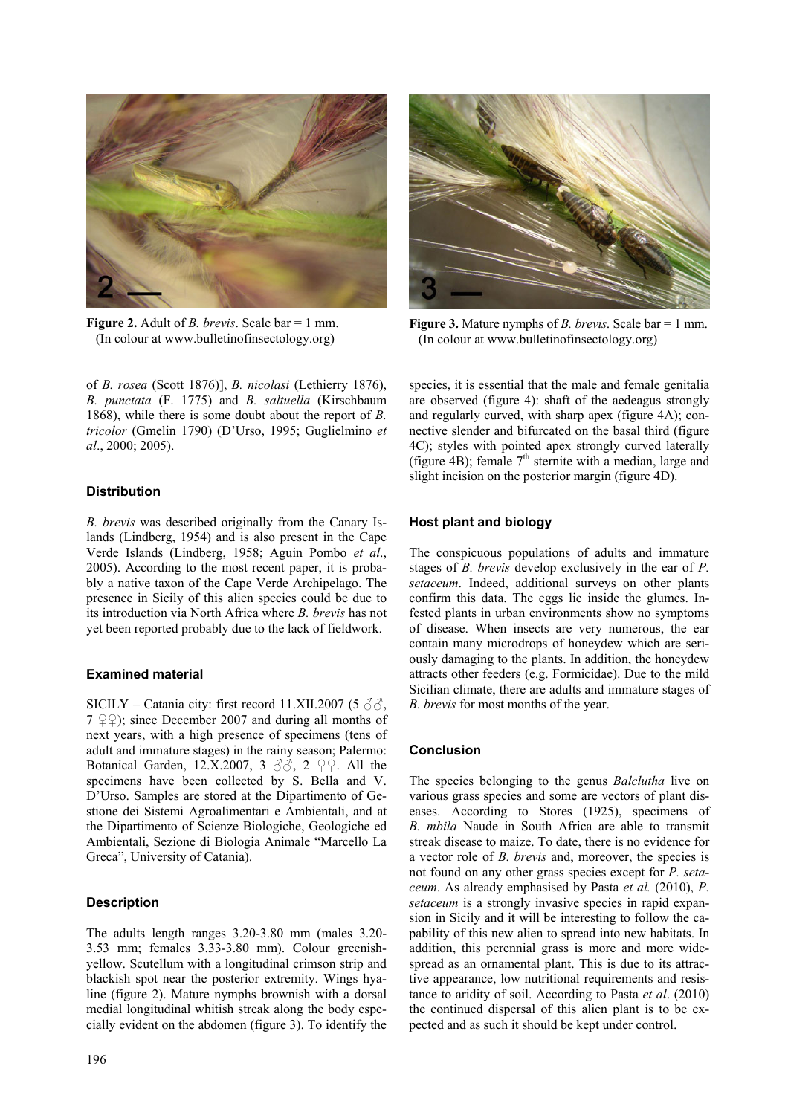

**Figure 2.** Adult of *B. brevis*. Scale bar = 1 mm. (In colour at www.bulletinofinsectology.org)

of *B. rosea* (Scott 1876)], *B. nicolasi* (Lethierry 1876), *B. punctata* (F. 1775) and *B. saltuella* (Kirschbaum 1868), while there is some doubt about the report of *B. tricolor* (Gmelin 1790) (D'Urso, 1995; Guglielmino *et al*., 2000; 2005).

### **Distribution**

*B. brevis* was described originally from the Canary Islands (Lindberg, 1954) and is also present in the Cape Verde Islands (Lindberg, 1958; Aguin Pombo *et al*., 2005). According to the most recent paper, it is probably a native taxon of the Cape Verde Archipelago. The presence in Sicily of this alien species could be due to its introduction via North Africa where *B. brevis* has not yet been reported probably due to the lack of fieldwork.

#### **Examined material**

SICILY – Catania city: first record 11.XII.2007 (5  $\Im$  $\Im$ ,  $7 \n\textcircled{2}$ ; since December 2007 and during all months of next years, with a high presence of specimens (tens of adult and immature stages) in the rainy season; Palermo: Botanical Garden, 12.X.2007, 3  $\partial \mathcal{S}$ , 2  $\partial \mathcal{S}$ . All the specimens have been collected by S. Bella and V. D'Urso. Samples are stored at the Dipartimento of Gestione dei Sistemi Agroalimentari e Ambientali, and at the Dipartimento of Scienze Biologiche, Geologiche ed Ambientali, Sezione di Biologia Animale "Marcello La Greca", University of Catania).

#### **Description**

The adults length ranges 3.20-3.80 mm (males 3.20- 3.53 mm; females 3.33-3.80 mm). Colour greenishyellow. Scutellum with a longitudinal crimson strip and blackish spot near the posterior extremity. Wings hyaline (figure 2). Mature nymphs brownish with a dorsal medial longitudinal whitish streak along the body especially evident on the abdomen (figure 3). To identify the



**Figure 3.** Mature nymphs of *B. brevis*. Scale bar = 1 mm. (In colour at www.bulletinofinsectology.org)

species, it is essential that the male and female genitalia are observed (figure 4): shaft of the aedeagus strongly and regularly curved, with sharp apex (figure 4A); connective slender and bifurcated on the basal third (figure 4C); styles with pointed apex strongly curved laterally (figure 4B); female  $7<sup>th</sup>$  sternite with a median, large and slight incision on the posterior margin (figure 4D).

### **Host plant and biology**

The conspicuous populations of adults and immature stages of *B. brevis* develop exclusively in the ear of *P. setaceum*. Indeed, additional surveys on other plants confirm this data. The eggs lie inside the glumes. Infested plants in urban environments show no symptoms of disease. When insects are very numerous, the ear contain many microdrops of honeydew which are seriously damaging to the plants. In addition, the honeydew attracts other feeders (e.g. Formicidae). Due to the mild Sicilian climate, there are adults and immature stages of *B. brevis* for most months of the year.

#### **Conclusion**

The species belonging to the genus *Balclutha* live on various grass species and some are vectors of plant diseases. According to Stores (1925), specimens of *B. mbila* Naude in South Africa are able to transmit streak disease to maize. To date, there is no evidence for a vector role of *B. brevis* and, moreover, the species is not found on any other grass species except for *P. setaceum*. As already emphasised by Pasta *et al.* (2010), *P. setaceum* is a strongly invasive species in rapid expansion in Sicily and it will be interesting to follow the capability of this new alien to spread into new habitats. In addition, this perennial grass is more and more widespread as an ornamental plant. This is due to its attractive appearance, low nutritional requirements and resistance to aridity of soil. According to Pasta *et al*. (2010) the continued dispersal of this alien plant is to be expected and as such it should be kept under control.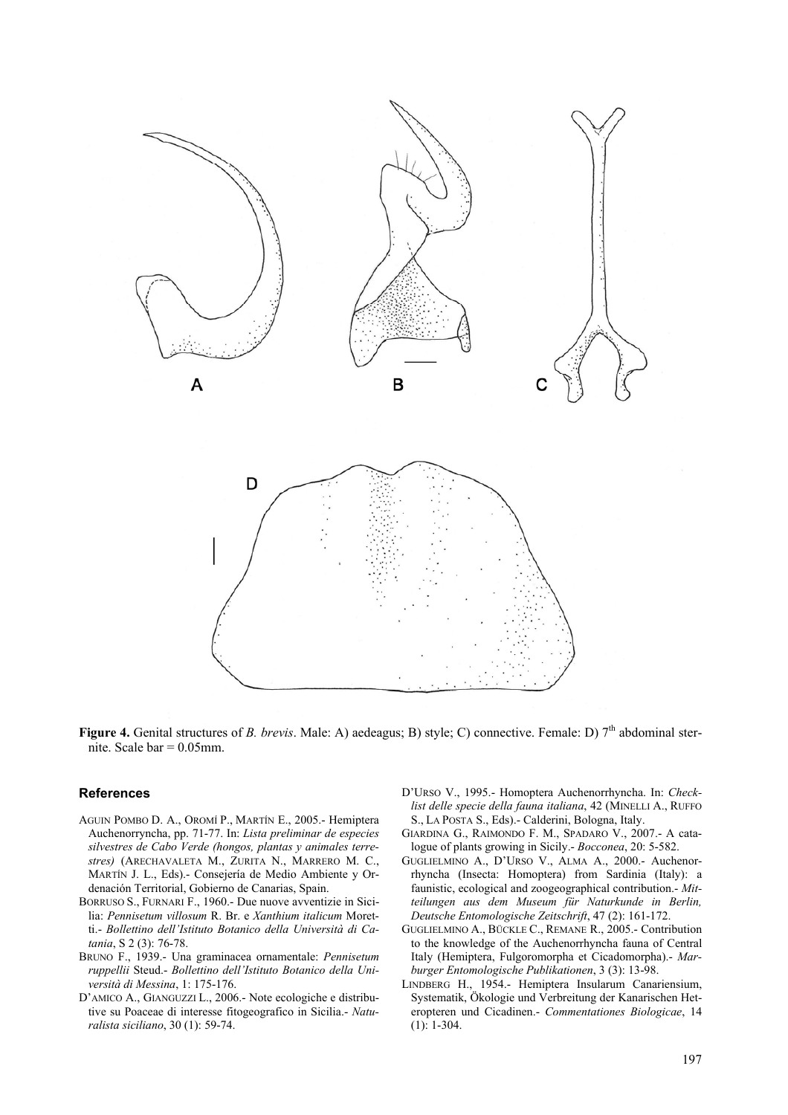

**Figure 4.** Genital structures of *B. brevis.* Male: A) aedeagus; B) style; C) connective. Female: D) 7<sup>th</sup> abdominal sternite. Scale bar  $= 0.05$ mm.

#### **References**

- AGUIN POMBO D. A., OROMÍ P., MARTÍN E., 2005.- Hemiptera Auchenorryncha, pp. 71-77. In: *Lista preliminar de especies silvestres de Cabo Verde (hongos, plantas y animales terrestres)* (ARECHAVALETA M., ZURITA N., MARRERO M. C., MARTÍN J. L., Eds).- Consejería de Medio Ambiente y Ordenación Territorial, Gobierno de Canarias, Spain.
- BORRUSO S., FURNARI F., 1960.- Due nuove avventizie in Sicilia: *Pennisetum villosum* R. Br. e *Xanthium italicum* Moretti.- *Bollettino dell'Istituto Botanico della Università di Catania*, S 2 (3): 76-78.
- BRUNO F., 1939.- Una graminacea ornamentale: *Pennisetum ruppellii* Steud.- *Bollettino dell'Istituto Botanico della Università di Messina*, 1: 175-176.
- D'AMICO A., GIANGUZZI L., 2006.- Note ecologiche e distributive su Poaceae di interesse fitogeografico in Sicilia.- *Naturalista siciliano*, 30 (1): 59-74.
- D'URSO V., 1995.- Homoptera Auchenorrhyncha. In: *Checklist delle specie della fauna italiana*, 42 (MINELLI A., RUFFO S., LA POSTA S., Eds).- Calderini, Bologna, Italy.
- GIARDINA G., RAIMONDO F. M., SPADARO V., 2007.- A catalogue of plants growing in Sicily.- *Bocconea*, 20: 5-582.
- GUGLIELMINO A., D'URSO V., ALMA A., 2000.- Auchenorrhyncha (Insecta: Homoptera) from Sardinia (Italy): a faunistic, ecological and zoogeographical contribution.- *Mitteilungen aus dem Museum für Naturkunde in Berlin, Deutsche Entomologische Zeitschrift*, 47 (2): 161-172.
- GUGLIELMINO A., BÜCKLE C., REMANE R., 2005.- Contribution to the knowledge of the Auchenorrhyncha fauna of Central Italy (Hemiptera, Fulgoromorpha et Cicadomorpha).- *Marburger Entomologische Publikationen*, 3 (3): 13-98.
- LINDBERG H., 1954.- Hemiptera Insularum Canariensium, Systematik, Ökologie und Verbreitung der Kanarischen Heteropteren und Cicadinen.- *Commentationes Biologicae*, 14  $(1): 1-304.$